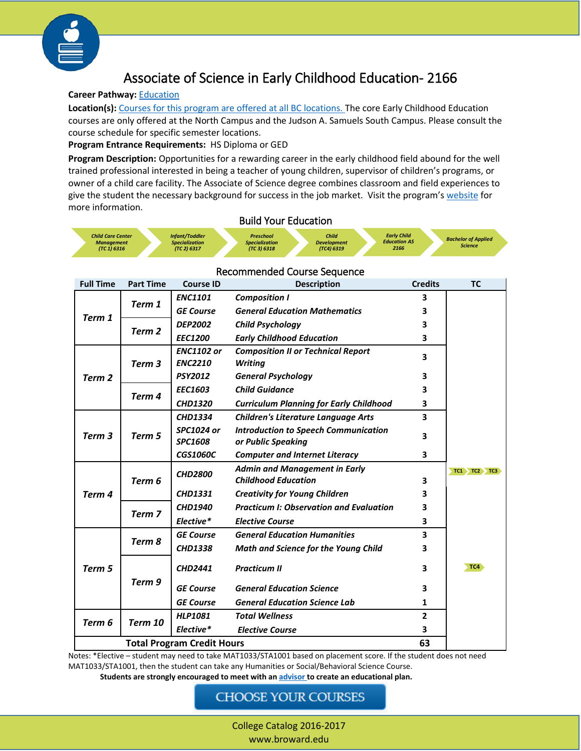

# Associate of Science in Early Childhood Education- 2166

#### **Career Pathway:** [Education](http://www.broward.edu/academics/programs/Pages/education.aspx)

**Location(s):** [Courses for this program are offered at all BC locations.](http://www.broward.edu/locations/Pages/default.aspx) The core Early Childhood Education courses are only offered at the North Campus and the Judson A. Samuels South Campus. Please consult the course schedule for specific semester locations.

**Program Entrance Requirements:** HS Diploma or GED

**Program Description:** Opportunities for a rewarding career in the early childhood field abound for the well trained professional interested in being a teacher of young children, supervisor of children's programs, or owner of a child care facility. The Associate of Science degree combines classroom and field experiences to give the student the necessary background for success in the job market. Visit the program'[s website](http://www.broward.edu/academics/programs/Pages/education.aspx) for more information.

#### Build Your Education

| <b>Infant/Toddler</b><br><b>Child Care Center</b><br><b>Specialization</b><br><b>Management</b><br>(TC 2) 6317<br><b>(TC 1) 6316</b> | Preschool<br><b>Specialization</b><br>(TC 3) 6318 | Child<br><b>Development</b><br><b>(TC4) 6319</b> | <b>Early Child</b><br><b>Education AS</b><br>2166 | <b>Bachelor of Applied</b><br><b>Science</b> |
|--------------------------------------------------------------------------------------------------------------------------------------|---------------------------------------------------|--------------------------------------------------|---------------------------------------------------|----------------------------------------------|
|--------------------------------------------------------------------------------------------------------------------------------------|---------------------------------------------------|--------------------------------------------------|---------------------------------------------------|----------------------------------------------|

| <b>Full Time</b>                  | <b>Part Time</b> | <b>Course ID</b>                                       | <b>Description</b>                             | <b>Credits</b> | <b>TC</b>         |
|-----------------------------------|------------------|--------------------------------------------------------|------------------------------------------------|----------------|-------------------|
| Term 1                            | Term 1           | <b>ENC1101</b>                                         | <b>Composition I</b>                           | 3              |                   |
|                                   |                  | <b>GE Course</b>                                       | <b>General Education Mathematics</b>           | 3              |                   |
|                                   | Term 2           | <b>DEP2002</b>                                         | <b>Child Psychology</b>                        | 3              |                   |
|                                   |                  | <b>EEC1200</b>                                         | <b>Early Childhood Education</b>               | 3              |                   |
| Term 2                            |                  | <b>ENC1102 or</b>                                      | <b>Composition II or Technical Report</b>      | 3              |                   |
|                                   | Term 3           | <b>ENC2210</b>                                         | <b>Writing</b>                                 |                |                   |
|                                   |                  | <b>PSY2012</b>                                         | <b>General Psychology</b>                      | 3              |                   |
|                                   | Term 4           | <b>EEC1603</b>                                         | <b>Child Guidance</b>                          | 3              |                   |
|                                   |                  | <b>CHD1320</b>                                         | <b>Curriculum Planning for Early Childhood</b> | 3              |                   |
| Term 3                            |                  | <b>CHD1334</b>                                         | <b>Children's Literature Language Arts</b>     | 3              |                   |
|                                   | Term 5           | <b>SPC1024 or</b>                                      | <b>Introduction to Speech Communication</b>    | 3              |                   |
|                                   |                  | <b>SPC1608</b>                                         | or Public Speaking                             |                |                   |
|                                   |                  | <b>CGS1060C</b>                                        | <b>Computer and Internet Literacy</b>          | 3              |                   |
| Term 4                            | Term 6           | <b>Admin and Management in Early</b><br><b>CHD2800</b> |                                                |                | $TC1$ $TC2$ $TC3$ |
|                                   |                  |                                                        | <b>Childhood Education</b>                     | 3              |                   |
|                                   |                  | <b>CHD1331</b>                                         | <b>Creativity for Young Children</b>           | 3              |                   |
|                                   | Term 7           | <b>CHD1940</b>                                         | <b>Practicum I: Observation and Evaluation</b> | 3              |                   |
|                                   |                  | Elective*                                              | <b>Elective Course</b>                         | 3              |                   |
| Term 5                            | Term 8           | <b>GE Course</b>                                       | <b>General Education Humanities</b>            | 3              |                   |
|                                   |                  | <b>CHD1338</b>                                         | <b>Math and Science for the Young Child</b>    | 3              |                   |
|                                   | Term 9           | <b>CHD2441</b>                                         | <b>Practicum II</b>                            |                | TC4               |
|                                   |                  |                                                        |                                                | 3              |                   |
|                                   |                  | <b>GE Course</b>                                       | <b>General Education Science</b>               | 3              |                   |
|                                   |                  | <b>GE Course</b>                                       | <b>General Education Science Lab</b>           | 1              |                   |
| Term 6                            | Term 10          | <b>HLP1081</b>                                         | <b>Total Wellness</b>                          | $\overline{2}$ |                   |
|                                   |                  | Elective*                                              | <b>Elective Course</b>                         | 3              |                   |
| <b>Total Program Credit Hours</b> |                  |                                                        |                                                | 63             |                   |

#### Recommended Course Sequence

Notes: \*Elective – student may need to take MAT1033/STA1001 based on placement score. If the student does not need MAT1033/STA1001, then the student can take any Humanities or Social/Behavioral Science Course. **Students are strongly encouraged to meet with a[n advisor](http://www.broward.edu/studentresources/advising/Pages/default.aspx) to create an educational plan.**

### **CHOOSE YOUR COURSES**

College Catalog 2016-2017 www.broward.edu